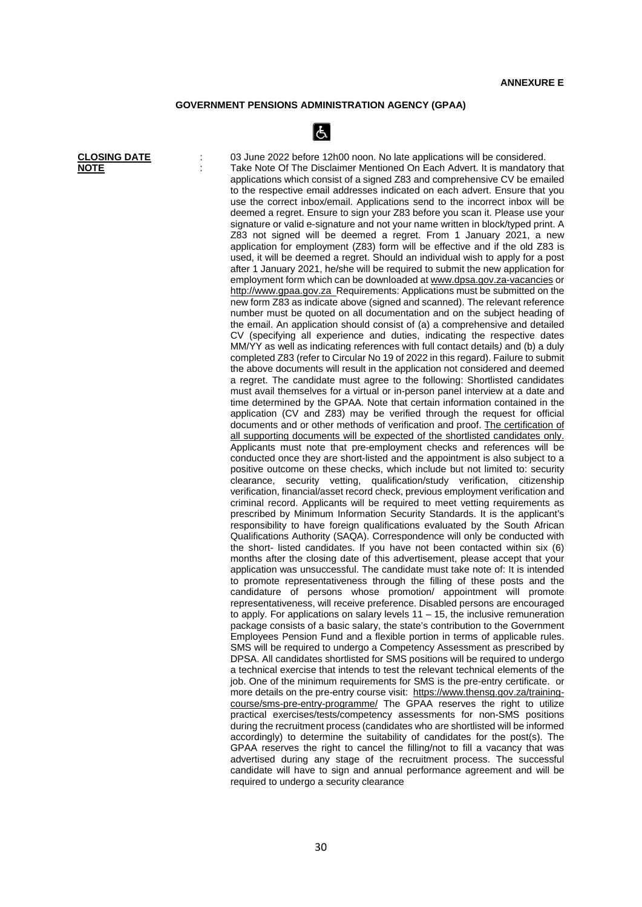## **GOVERNMENT PENSIONS ADMINISTRATION AGENCY (GPAA)**

 $\lfloor \mathbf{f}_\lambda \rfloor$ 

**CLOSING DATE** : 03 June 2022 before 12h00 noon. No late applications will be considered. **NOTE** : Take Note Of The Disclaimer Mentioned On Each Advert. It is mandatory that applications which consist of a signed Z83 and comprehensive CV be emailed to the respective email addresses indicated on each advert. Ensure that you use the correct inbox/email. Applications send to the incorrect inbox will be deemed a regret. Ensure to sign your Z83 before you scan it. Please use your signature or valid e-signature and not your name written in block/typed print. A Z83 not signed will be deemed a regret. From 1 January 2021, a new application for employment (Z83) form will be effective and if the old Z83 is used, it will be deemed a regret. Should an individual wish to apply for a post after 1 January 2021, he/she will be required to submit the new application for employment form which can be downloaded a[t www.dpsa.gov.za-vacancies](http://www.dpsa.gov.za-vacancies/) or [http://www.gpaa.gov.za](http://www.gpaa.gov.za/) Requirements: Applications must be submitted on the new form Z83 as indicate above (signed and scanned). The relevant reference number must be quoted on all documentation and on the subject heading of the email. An application should consist of (a) a comprehensive and detailed CV (specifying all experience and duties, indicating the respective dates MM/YY as well as indicating references with full contact details*)* and (b) a duly completed Z83 (refer to Circular No 19 of 2022 in this regard). Failure to submit the above documents will result in the application not considered and deemed a regret. The candidate must agree to the following: Shortlisted candidates must avail themselves for a virtual or in-person panel interview at a date and time determined by the GPAA. Note that certain information contained in the application (CV and Z83) may be verified through the request for official documents and or other methods of verification and proof. The certification of all supporting documents will be expected of the shortlisted candidates only. Applicants must note that pre-employment checks and references will be conducted once they are short-listed and the appointment is also subject to a positive outcome on these checks, which include but not limited to: security clearance, security vetting, qualification/study verification, citizenship verification, financial/asset record check, previous employment verification and criminal record. Applicants will be required to meet vetting requirements as prescribed by Minimum Information Security Standards. It is the applicant's responsibility to have foreign qualifications evaluated by the South African Qualifications Authority (SAQA). Correspondence will only be conducted with the short- listed candidates. If you have not been contacted within six (6) months after the closing date of this advertisement, please accept that your application was unsuccessful. The candidate must take note of: It is intended to promote representativeness through the filling of these posts and the candidature of persons whose promotion/ appointment will promote representativeness, will receive preference. Disabled persons are encouraged to apply. For applications on salary levels  $11 - 15$ , the inclusive remuneration package consists of a basic salary, the state's contribution to the Government Employees Pension Fund and a flexible portion in terms of applicable rules. SMS will be required to undergo a Competency Assessment as prescribed by DPSA. All candidates shortlisted for SMS positions will be required to undergo a technical exercise that intends to test the relevant technical elements of the job. One of the minimum requirements for SMS is the pre-entry certificate. or more details on the pre-entry course visit: [https://www.thensg.gov.za/training](https://www.thensg.gov.za/training-course/sms-pre-entry-programme/)[course/sms-pre-entry-programme/](https://www.thensg.gov.za/training-course/sms-pre-entry-programme/) The GPAA reserves the right to utilize practical exercises/tests/competency assessments for non-SMS positions during the recruitment process (candidates who are shortlisted will be informed accordingly) to determine the suitability of candidates for the post(s). The GPAA reserves the right to cancel the filling/not to fill a vacancy that was advertised during any stage of the recruitment process. The successful candidate will have to sign and annual performance agreement and will be required to undergo a security clearance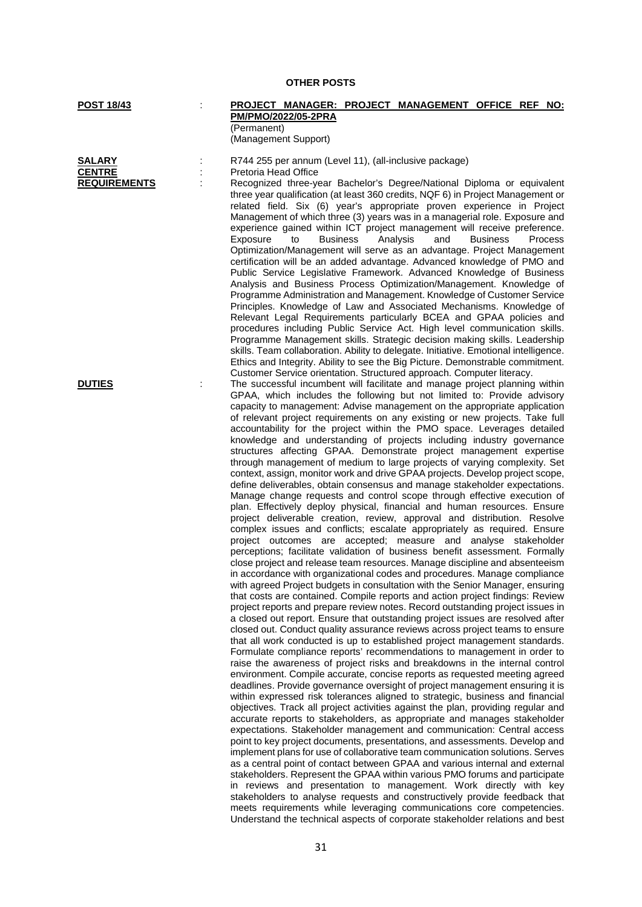| SALARY              |  |
|---------------------|--|
| <b>CENTRE</b>       |  |
| <b>REQUIREMENTS</b> |  |

## **OTHER POSTS**

## **POST 18/43** : **PROJECT MANAGER: PROJECT MANAGEMENT OFFICE REF NO: PM/PMO/2022/05-2PRA** (Permanent)

(Management Support)

**SALARY** : R744 255 per annum (Level 11), (all-inclusive package)

**CENTRE :** Pretoria Head Office : Recognized three-year Bachelor's Degree/National Diploma or equivalent three year qualification (at least 360 credits, NQF 6) in Project Management or related field. Six (6) year's appropriate proven experience in Project Management of which three (3) years was in a managerial role. Exposure and experience gained within ICT project management will receive preference.<br>Exposure to Business Analysis and Business Process Exposure to Business Analysis and Business Process Optimization/Management will serve as an advantage. Project Management certification will be an added advantage. Advanced knowledge of PMO and Public Service Legislative Framework. Advanced Knowledge of Business Analysis and Business Process Optimization/Management. Knowledge of Programme Administration and Management. Knowledge of Customer Service Principles. Knowledge of Law and Associated Mechanisms. Knowledge of Relevant Legal Requirements particularly BCEA and GPAA policies and procedures including Public Service Act. High level communication skills. Programme Management skills. Strategic decision making skills. Leadership skills. Team collaboration. Ability to delegate. Initiative. Emotional intelligence. Ethics and Integrity. Ability to see the Big Picture. Demonstrable commitment. Customer Service orientation. Structured approach. Computer literacy.

**DUTIES** : The successful incumbent will facilitate and manage project planning within GPAA, which includes the following but not limited to: Provide advisory capacity to management: Advise management on the appropriate application of relevant project requirements on any existing or new projects. Take full accountability for the project within the PMO space. Leverages detailed knowledge and understanding of projects including industry governance structures affecting GPAA. Demonstrate project management expertise through management of medium to large projects of varying complexity. Set context, assign, monitor work and drive GPAA projects. Develop project scope, define deliverables, obtain consensus and manage stakeholder expectations. Manage change requests and control scope through effective execution of plan. Effectively deploy physical, financial and human resources. Ensure project deliverable creation, review, approval and distribution. Resolve complex issues and conflicts; escalate appropriately as required. Ensure project outcomes are accepted; measure and analyse stakeholder perceptions; facilitate validation of business benefit assessment. Formally close project and release team resources. Manage discipline and absenteeism in accordance with organizational codes and procedures. Manage compliance with agreed Project budgets in consultation with the Senior Manager, ensuring that costs are contained. Compile reports and action project findings: Review project reports and prepare review notes. Record outstanding project issues in a closed out report. Ensure that outstanding project issues are resolved after closed out. Conduct quality assurance reviews across project teams to ensure that all work conducted is up to established project management standards. Formulate compliance reports' recommendations to management in order to raise the awareness of project risks and breakdowns in the internal control environment. Compile accurate, concise reports as requested meeting agreed deadlines. Provide governance oversight of project management ensuring it is within expressed risk tolerances aligned to strategic, business and financial objectives. Track all project activities against the plan, providing regular and accurate reports to stakeholders, as appropriate and manages stakeholder expectations. Stakeholder management and communication: Central access point to key project documents, presentations, and assessments. Develop and implement plans for use of collaborative team communication solutions. Serves as a central point of contact between GPAA and various internal and external stakeholders. Represent the GPAA within various PMO forums and participate in reviews and presentation to management. Work directly with key stakeholders to analyse requests and constructively provide feedback that meets requirements while leveraging communications core competencies. Understand the technical aspects of corporate stakeholder relations and best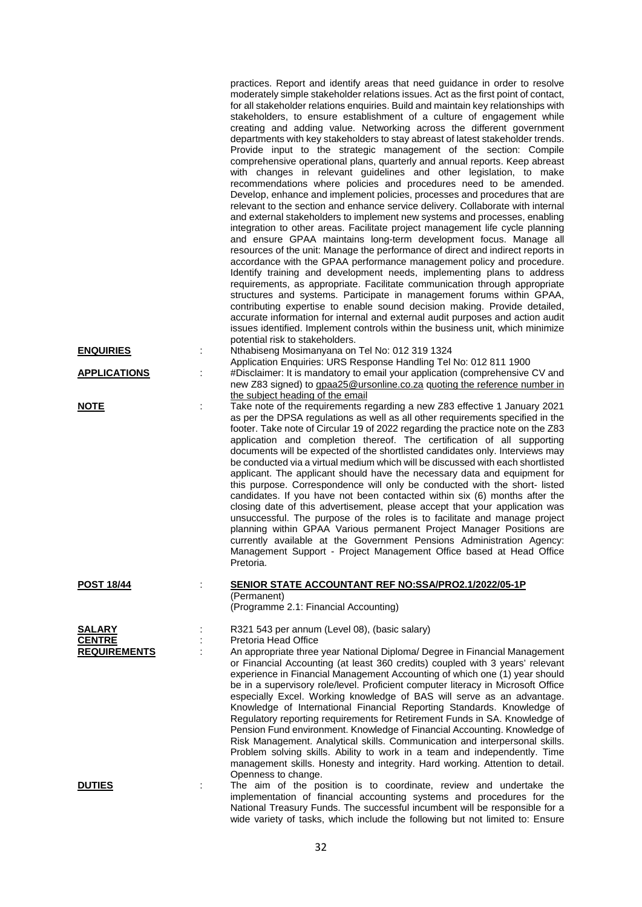|                                                       |   | practices. Report and identify areas that need guidance in order to resolve<br>moderately simple stakeholder relations issues. Act as the first point of contact,<br>for all stakeholder relations enquiries. Build and maintain key relationships with<br>stakeholders, to ensure establishment of a culture of engagement while<br>creating and adding value. Networking across the different government<br>departments with key stakeholders to stay abreast of latest stakeholder trends.<br>Provide input to the strategic management of the section: Compile<br>comprehensive operational plans, quarterly and annual reports. Keep abreast<br>with changes in relevant guidelines and other legislation, to make<br>recommendations where policies and procedures need to be amended.<br>Develop, enhance and implement policies, processes and procedures that are<br>relevant to the section and enhance service delivery. Collaborate with internal<br>and external stakeholders to implement new systems and processes, enabling<br>integration to other areas. Facilitate project management life cycle planning<br>and ensure GPAA maintains long-term development focus. Manage all<br>resources of the unit: Manage the performance of direct and indirect reports in<br>accordance with the GPAA performance management policy and procedure.<br>Identify training and development needs, implementing plans to address<br>requirements, as appropriate. Facilitate communication through appropriate<br>structures and systems. Participate in management forums within GPAA,<br>contributing expertise to enable sound decision making. Provide detailed,<br>accurate information for internal and external audit purposes and action audit<br>issues identified. Implement controls within the business unit, which minimize<br>potential risk to stakeholders. |
|-------------------------------------------------------|---|------------------------------------------------------------------------------------------------------------------------------------------------------------------------------------------------------------------------------------------------------------------------------------------------------------------------------------------------------------------------------------------------------------------------------------------------------------------------------------------------------------------------------------------------------------------------------------------------------------------------------------------------------------------------------------------------------------------------------------------------------------------------------------------------------------------------------------------------------------------------------------------------------------------------------------------------------------------------------------------------------------------------------------------------------------------------------------------------------------------------------------------------------------------------------------------------------------------------------------------------------------------------------------------------------------------------------------------------------------------------------------------------------------------------------------------------------------------------------------------------------------------------------------------------------------------------------------------------------------------------------------------------------------------------------------------------------------------------------------------------------------------------------------------------------------------------------------------------------------------------------------|
| <b>ENQUIRIES</b>                                      |   | Nthabiseng Mosimanyana on Tel No: 012 319 1324<br>Application Enquiries: URS Response Handling Tel No: 012 811 1900                                                                                                                                                                                                                                                                                                                                                                                                                                                                                                                                                                                                                                                                                                                                                                                                                                                                                                                                                                                                                                                                                                                                                                                                                                                                                                                                                                                                                                                                                                                                                                                                                                                                                                                                                                |
| <b>APPLICATIONS</b>                                   |   | #Disclaimer: It is mandatory to email your application (comprehensive CV and<br>new Z83 signed) to gpaa25@ursonline.co.za quoting the reference number in<br>the subject heading of the email                                                                                                                                                                                                                                                                                                                                                                                                                                                                                                                                                                                                                                                                                                                                                                                                                                                                                                                                                                                                                                                                                                                                                                                                                                                                                                                                                                                                                                                                                                                                                                                                                                                                                      |
| <b>NOTE</b>                                           | ÷ | Take note of the requirements regarding a new Z83 effective 1 January 2021<br>as per the DPSA regulations as well as all other requirements specified in the<br>footer. Take note of Circular 19 of 2022 regarding the practice note on the Z83<br>application and completion thereof. The certification of all supporting<br>documents will be expected of the shortlisted candidates only. Interviews may<br>be conducted via a virtual medium which will be discussed with each shortlisted<br>applicant. The applicant should have the necessary data and equipment for<br>this purpose. Correspondence will only be conducted with the short- listed<br>candidates. If you have not been contacted within six (6) months after the<br>closing date of this advertisement, please accept that your application was<br>unsuccessful. The purpose of the roles is to facilitate and manage project<br>planning within GPAA Various permanent Project Manager Positions are<br>currently available at the Government Pensions Administration Agency:<br>Management Support - Project Management Office based at Head Office<br>Pretoria.                                                                                                                                                                                                                                                                                                                                                                                                                                                                                                                                                                                                                                                                                                                                          |
| <b>POST 18/44</b>                                     |   | <b>SENIOR STATE ACCOUNTANT REF NO:SSA/PRO2.1/2022/05-1P</b><br>(Permanent)<br>(Programme 2.1: Financial Accounting)                                                                                                                                                                                                                                                                                                                                                                                                                                                                                                                                                                                                                                                                                                                                                                                                                                                                                                                                                                                                                                                                                                                                                                                                                                                                                                                                                                                                                                                                                                                                                                                                                                                                                                                                                                |
| <b>SALARY</b><br><b>CENTRE</b><br><b>REQUIREMENTS</b> | ÷ | R321 543 per annum (Level 08), (basic salary)<br>Pretoria Head Office<br>An appropriate three year National Diploma/ Degree in Financial Management<br>or Financial Accounting (at least 360 credits) coupled with 3 years' relevant<br>experience in Financial Management Accounting of which one (1) year should<br>be in a supervisory role/level. Proficient computer literacy in Microsoft Office<br>especially Excel. Working knowledge of BAS will serve as an advantage.<br>Knowledge of International Financial Reporting Standards. Knowledge of<br>Regulatory reporting requirements for Retirement Funds in SA. Knowledge of<br>Pension Fund environment. Knowledge of Financial Accounting. Knowledge of<br>Risk Management. Analytical skills. Communication and interpersonal skills.<br>Problem solving skills. Ability to work in a team and independently. Time<br>management skills. Honesty and integrity. Hard working. Attention to detail.<br>Openness to change.                                                                                                                                                                                                                                                                                                                                                                                                                                                                                                                                                                                                                                                                                                                                                                                                                                                                                           |
| <b>DUTIES</b>                                         |   | The aim of the position is to coordinate, review and undertake the<br>implementation of financial accounting systems and procedures for the<br>National Treasury Funds. The successful incumbent will be responsible for a                                                                                                                                                                                                                                                                                                                                                                                                                                                                                                                                                                                                                                                                                                                                                                                                                                                                                                                                                                                                                                                                                                                                                                                                                                                                                                                                                                                                                                                                                                                                                                                                                                                         |

wide variety of tasks, which include the following but not limited to: Ensure